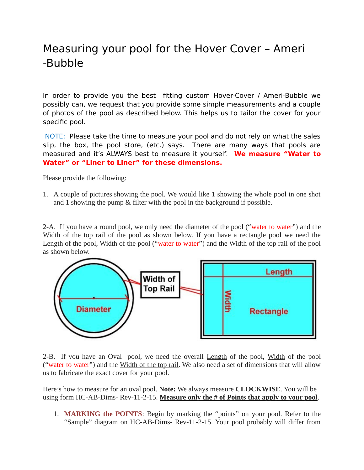## Measuring your pool for the Hover Cover – Ameri -Bubble

In order to provide you the best fitting custom Hover-Cover / Ameri-Bubble we possibly can, we request that you provide some simple measurements and a couple of photos of the pool as described below. This helps us to tailor the cover for your specific pool.

NOTE: Please take the time to measure your pool and do not rely on what the sales slip, the box, the pool store, (etc.) says. There are many ways that pools are measured and it's ALWAYS best to measure it yourself. **We measure "Water to Water" or "Liner to Liner" for these dimensions.**

Please provide the following:

1. A couple of pictures showing the pool. We would like 1 showing the whole pool in one shot and 1 showing the pump & filter with the pool in the background if possible.

2-A. If you have a round pool, we only need the diameter of the pool ("water to water") and the Width of the top rail of the pool as shown below. If you have a rectangle pool we need the Length of the pool, Width of the pool ("water to water") and the Width of the top rail of the pool as shown below.



2-B. If you have an Oval pool, we need the overall Length of the pool, Width of the pool ("water to water") and the Width of the top rail. We also need a set of dimensions that will allow us to fabricate the exact cover for your pool.

Here's how to measure for an oval pool. **Note:** We always measure **CLOCKWISE**. You will be using form HC-AB-Dims- Rev-11-2-15. **Measure only the # of Points that apply to your pool**.

1. **MARKING the POINTS**: Begin by marking the "points" on your pool. Refer to the "Sample" diagram on HC-AB-Dims- Rev-11-2-15. Your pool probably will differ from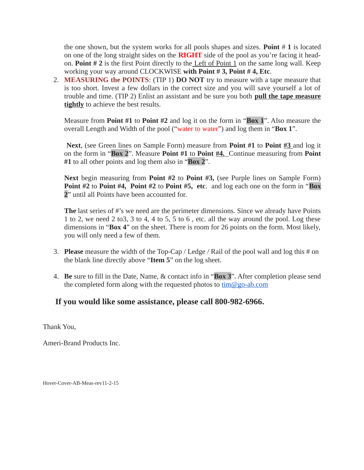the one shown, but the system works for all pools shapes and sizes. **Point** # **1** is located on one of the long straight sides on the **RIGHT** side of the pool as you're facing it headon. **Point # 2** is the first Point directly to the Left of Point 1 on the same long wall. Keep working your way around CLOCKWISE **with Point # 3, Point # 4, Etc**.

2. **MEASURING the POINTS**: (TIP 1) **DO NOT** try to measure with a tape measure that is too short. Invest a few dollars in the correct size and you will save yourself a lot of trouble and time. (TIP 2) Enlist an assistant and be sure you both **pull the tape measure tightly** to achieve the best results.

Measure from **Point #1** to **Point #2** and log it on the form in "**Box 1**". Also measure the overall Length and Width of the pool ("water to water") and log them in "**Box 1**".

**Next**, (see Green lines on Sample Form) measure from **Point #1** to **Point #3** and log it on the form in "**Box 2**". Measure **Point #1** to **Point #4.** Continue measuring from **Point #1** to all other points and log them also in "**Box 2**".

**Next** begin measuring from **Point #2** to **Point #3,** (see Purple lines on Sample Form) **Point #2** to **Point #4, Point #2** to **Point #5, etc**. and log each one on the form in "**Box 2**" until all Points have been accounted for.

**The** last series of #'s we need are the perimeter dimensions. Since we already have Points 1 to 2, we need 2 to3, 3 to 4, 4 to 5, 5 to 6 , etc. all the way around the pool. Log these dimensions in "**Box 4**" on the sheet. There is room for 26 points on the form. Most likely, you will only need a few of them.

- 3. **Please** measure the width of the Top-Cap / Ledge / Rail of the pool wall and log this # on the blank line directly above "**Item 5**" on the log sheet.
- 4. **Be** sure to fill in the Date, Name, & contact info in "**Box 3**". After completion please send the completed form along with the requested photos to  $\lim(\partial g_0 - ab \cdot c)$

## **If you would like some assistance, please call 800-982-6966.**

Thank You,

Ameri-Brand Products Inc.

Hover-Cover-AB-Meas-rev11-2-15